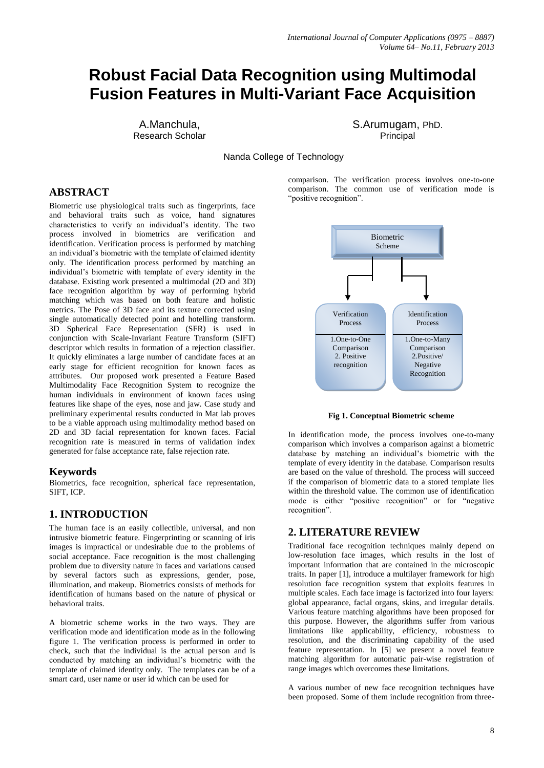# **Robust Facial Data Recognition using Multimodal Fusion Features in Multi-Variant Face Acquisition**

A.Manchula, Research Scholar

S.Arumugam, PhD. **Principal** 

Nanda College of Technology

# **ABSTRACT**

Biometric use physiological traits such as fingerprints, face and behavioral traits such as voice, hand signatures characteristics to verify an individual's identity. The two process involved in biometrics are verification and identification. Verification process is performed by matching an individual's biometric with the template of claimed identity only. The identification process performed by matching an individual's biometric with template of every identity in the database. Existing work presented a multimodal (2D and 3D) face recognition algorithm by way of performing hybrid matching which was based on both feature and holistic metrics. The Pose of 3D face and its texture corrected using single automatically detected point and hotelling transform. 3D Spherical Face Representation (SFR) is used in conjunction with Scale-Invariant Feature Transform (SIFT) descriptor which results in formation of a rejection classifier. It quickly eliminates a large number of candidate faces at an early stage for efficient recognition for known faces as attributes. Our proposed work presented a Feature Based Multimodality Face Recognition System to recognize the human individuals in environment of known faces using features like shape of the eyes, nose and jaw. Case study and preliminary experimental results conducted in Mat lab proves to be a viable approach using multimodality method based on 2D and 3D facial representation for known faces. Facial recognition rate is measured in terms of validation index generated for false acceptance rate, false rejection rate.

### **Keywords**

Biometrics, face recognition, spherical face representation, SIFT, ICP.

### **1. INTRODUCTION**

The human face is an easily collectible, universal, and non intrusive biometric feature. Fingerprinting or scanning of iris images is impractical or undesirable due to the problems of social acceptance. Face recognition is the most challenging problem due to diversity nature in faces and variations caused by several factors such as expressions, gender, pose, illumination, and makeup. Biometrics consists of methods for identification of humans based on the nature of physical or behavioral traits.

A biometric scheme works in the two ways. They are verification mode and identification mode as in the following figure 1. The verification process is performed in order to check, such that the individual is the actual person and is conducted by matching an individual's biometric with the template of claimed identity only. The templates can be of a smart card, user name or user id which can be used for

comparison. The verification process involves one-to-one comparison. The common use of verification mode is "positive recognition".



**Fig 1. Conceptual Biometric scheme**

In identification mode, the process involves one-to-many comparison which involves a comparison against a biometric database by matching an individual's biometric with the template of every identity in the database. Comparison results are based on the value of threshold. The process will succeed if the comparison of biometric data to a stored template lies within the threshold value. The common use of identification mode is either "positive recognition" or for "negative recognition".

### **2. LITERATURE REVIEW**

Traditional face recognition techniques mainly depend on low-resolution face images, which results in the lost of important information that are contained in the microscopic traits. In paper [1], introduce a multilayer framework for high resolution face recognition system that exploits features in multiple scales. Each face image is factorized into four layers: global appearance, facial organs, skins, and irregular details. Various feature matching algorithms have been proposed for this purpose. However, the algorithms suffer from various limitations like applicability, efficiency, robustness to resolution, and the discriminating capability of the used feature representation. In [5] we present a novel feature matching algorithm for automatic pair-wise registration of range images which overcomes these limitations.

A various number of new face recognition techniques have been proposed. Some of them include recognition from three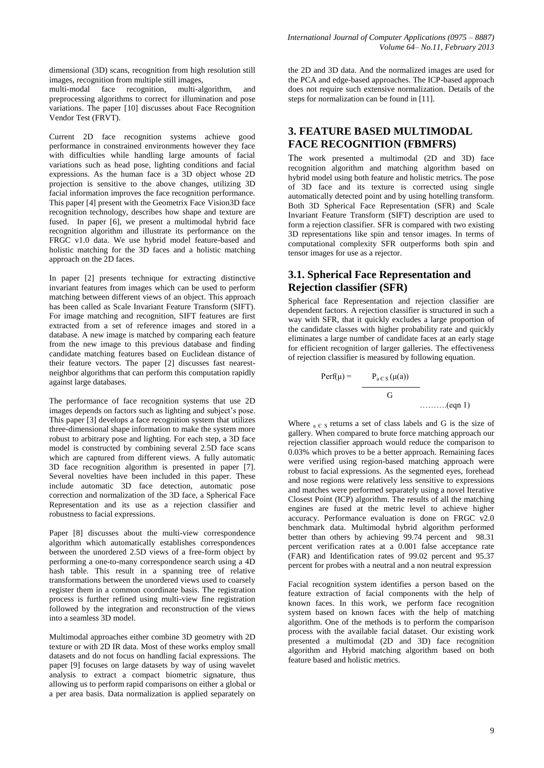dimensional (3D) scans, recognition from high resolution still images, recognition from multiple still images,

multi-modal face recognition, multi-algorithm, and preprocessing algorithms to correct for illumination and pose variations. The paper [10] discusses about Face Recognition Vendor Test (FRVT).

Current 2D face recognition systems achieve good performance in constrained environments however they face with difficulties while handling large amounts of facial variations such as head pose, lighting conditions and facial expressions. As the human face is a 3D object whose 2D projection is sensitive to the above changes, utilizing 3D facial information improves the face recognition performance. This paper [4] present with the Geometrix Face Vision3D face recognition technology, describes how shape and texture are fused. In paper [6], we present a multimodal hybrid face recognition algorithm and illustrate its performance on the FRGC v1.0 data. We use hybrid model feature-based and holistic matching for the 3D faces and a holistic matching approach on the 2D faces.

In paper [2] presents technique for extracting distinctive invariant features from images which can be used to perform matching between different views of an object. This approach has been called as Scale Invariant Feature Transform (SIFT). For image matching and recognition, SIFT features are first extracted from a set of reference images and stored in a database. A new image is matched by comparing each feature from the new image to this previous database and finding candidate matching features based on Euclidean distance of their feature vectors. The paper [2] discusses fast nearestneighbor algorithms that can perform this computation rapidly against large databases.

The performance of face recognition systems that use 2D images depends on factors such as lighting and subject's pose. This paper [3] develops a face recognition system that utilizes three-dimensional shape information to make the system more robust to arbitrary pose and lighting. For each step, a 3D face model is constructed by combining several 2.5D face scans which are captured from different views. A fully automatic 3D face recognition algorithm is presented in paper [7]. Several novelties have been included in this paper. These include automatic 3D face detection, automatic pose correction and normalization of the 3D face, a Spherical Face Representation and its use as a rejection classifier and robustness to facial expressions.

Paper [8] discusses about the multi-view correspondence algorithm which automatically establishes correspondences between the unordered 2.5D views of a free-form object by performing a one-to-many correspondence search using a 4D hash table. This result in a spanning tree of relative transformations between the unordered views used to coarsely register them in a common coordinate basis. The registration process is further refined using multi-view fine registration followed by the integration and reconstruction of the views into a seamless 3D model.

Multimodal approaches either combine 3D geometry with 2D texture or with 2D IR data. Most of these works employ small datasets and do not focus on handling facial expressions. The paper [9] focuses on large datasets by way of using wavelet analysis to extract a compact biometric signature, thus allowing us to perform rapid comparisons on either a global or a per area basis. Data normalization is applied separately on

the 2D and 3D data. And the normalized images are used for the PCA and edge-based approaches. The ICP-based approach does not require such extensive normalization. Details of the steps for normalization can be found in [11].

# **3. FEATURE BASED MULTIMODAL FACE RECOGNITION (FBMFRS)**

The work presented a multimodal (2D and 3D) face recognition algorithm and matching algorithm based on hybrid model using both feature and holistic metrics. The pose of 3D face and its texture is corrected using single automatically detected point and by using hotelling transform. Both 3D Spherical Face Representation (SFR) and Scale Invariant Feature Transform (SIFT) description are used to form a rejection classifier. SFR is compared with two existing 3D representations like spin and tensor images. In terms of computational complexity SFR outperforms both spin and tensor images for use as a rejector.

# **3.1. Spherical Face Representation and Rejection classifier (SFR)**

Spherical face Representation and rejection classifier are dependent factors. A rejection classifier is structured in such a way with SFR, that it quickly excludes a large proportion of the candidate classes with higher probability rate and quickly eliminates a large number of candidate faces at an early stage for efficient recognition of larger galleries. The effectiveness of rejection classifier is measured by following equation.

$$
Perf(\mu) = \frac{P_{a \in S}(\mu(a))}{G}
$$
........(eqn 1)

Where  $a \in S$  returns a set of class labels and G is the size of gallery. When compared to brute force matching approach our rejection classifier approach would reduce the comparison to 0.03% which proves to be a better approach. Remaining faces were verified using region-based matching approach were robust to facial expressions. As the segmented eyes, forehead and nose regions were relatively less sensitive to expressions and matches were performed separately using a novel Iterative Closest Point (ICP) algorithm. The results of all the matching engines are fused at the metric level to achieve higher accuracy. Performance evaluation is done on FRGC v2.0 benchmark data. Multimodal hybrid algorithm performed better than others by achieving 99.74 percent and 98.31 percent verification rates at a 0.001 false acceptance rate (FAR) and Identification rates of 99.02 percent and 95.37 percent for probes with a neutral and a non neutral expression

Facial recognition system identifies a person based on the feature extraction of facial components with the help of known faces. In this work, we perform face recognition system based on known faces with the help of matching algorithm. One of the methods is to perform the comparison process with the available facial dataset. Our existing work presented a multimodal (2D and 3D) face recognition algorithm and Hybrid matching algorithm based on both feature based and holistic metrics.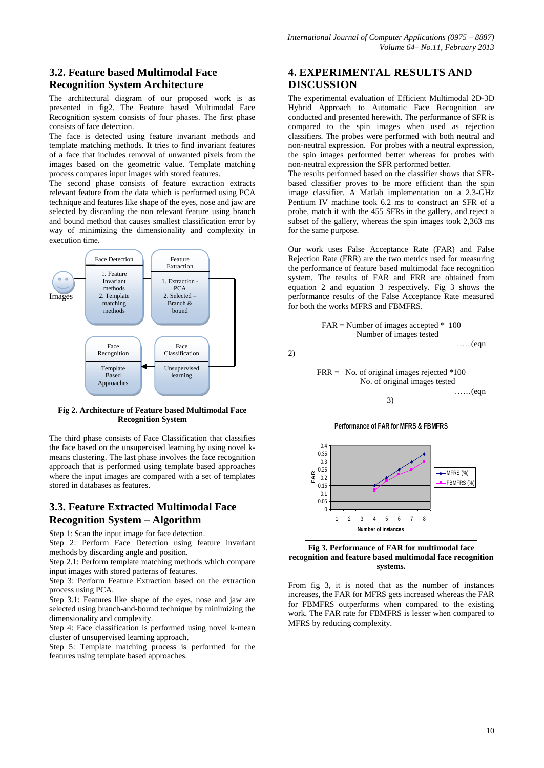# **3.2. Feature based Multimodal Face Recognition System Architecture**

The architectural diagram of our proposed work is as presented in fig2. The Feature based Multimodal Face Recognition system consists of four phases. The first phase consists of face detection.

The face is detected using feature invariant methods and template matching methods. It tries to find invariant features of a face that includes removal of unwanted pixels from the images based on the geometric value. Template matching process compares input images with stored features.

The second phase consists of feature extraction extracts relevant feature from the data which is performed using PCA technique and features like shape of the eyes, nose and jaw are selected by discarding the non relevant feature using branch and bound method that causes smallest classification error by way of minimizing the dimensionality and complexity in execution time.



#### **Fig 2. Architecture of Feature based Multimodal Face Recognition System**

The third phase consists of Face Classification that classifies the face based on the unsupervised learning by using novel kmeans clustering. The last phase involves the face recognition approach that is performed using template based approaches where the input images are compared with a set of templates stored in databases as features.

## **3.3. Feature Extracted Multimodal Face Recognition System – Algorithm**

Step 1: Scan the input image for face detection.

Step 2: Perform Face Detection using feature invariant methods by discarding angle and position.

Step 2.1: Perform template matching methods which compare input images with stored patterns of features.

Step 3: Perform Feature Extraction based on the extraction process using PCA.

Step 3.1: Features like shape of the eyes, nose and jaw are selected using branch-and-bound technique by minimizing the dimensionality and complexity.

Step 4: Face classification is performed using novel k-mean cluster of unsupervised learning approach.

Step 5: Template matching process is performed for the features using template based approaches.

# **4. EXPERIMENTAL RESULTS AND DISCUSSION**

The experimental evaluation of Efficient Multimodal 2D-3D Hybrid Approach to Automatic Face Recognition are conducted and presented herewith. The performance of SFR is compared to the spin images when used as rejection classifiers. The probes were performed with both neutral and non-neutral expression. For probes with a neutral expression, the spin images performed better whereas for probes with non-neutral expression the SFR performed better.

The results performed based on the classifier shows that SFRbased classifier proves to be more efficient than the spin image classifier. A Matlab implementation on a 2.3-GHz Pentium IV machine took 6.2 ms to construct an SFR of a probe, match it with the 455 SFRs in the gallery, and reject a subset of the gallery, whereas the spin images took 2,363 ms for the same purpose.

Our work uses False Acceptance Rate (FAR) and False Rejection Rate (FRR) are the two metrics used for measuring the performance of feature based multimodal face recognition system. The results of FAR and FRR are obtained from equation 2 and equation 3 respectively. Fig 3 shows the performance results of the False Acceptance Rate measured for both the works MFRS and FBMFRS.

FAR = Number of images accepted \* 100 Number of images tested …...(eqn FRR = No. of original images rejected \*100 No. of original images tested

3)

2)

……(eqn



**Fig 3. Performance of FAR for multimodal face recognition and feature based multimodal face recognition systems.**

From fig 3, it is noted that as the number of instances increases, the FAR for MFRS gets increased whereas the FAR for FBMFRS outperforms when compared to the existing work. The FAR rate for FBMFRS is lesser when compared to MFRS by reducing complexity.